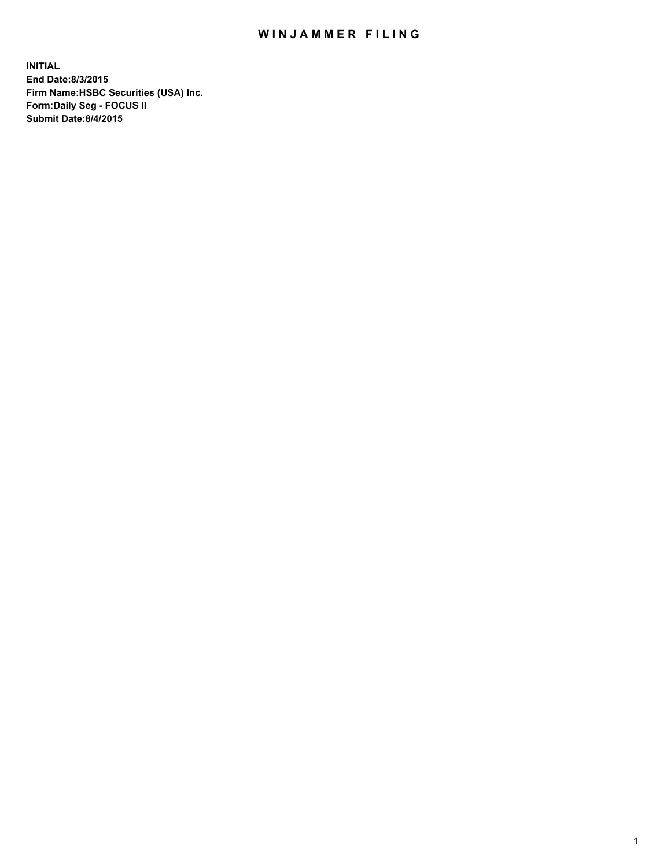## WIN JAMMER FILING

**INITIAL End Date:8/3/2015 Firm Name:HSBC Securities (USA) Inc. Form:Daily Seg - FOCUS II Submit Date:8/4/2015**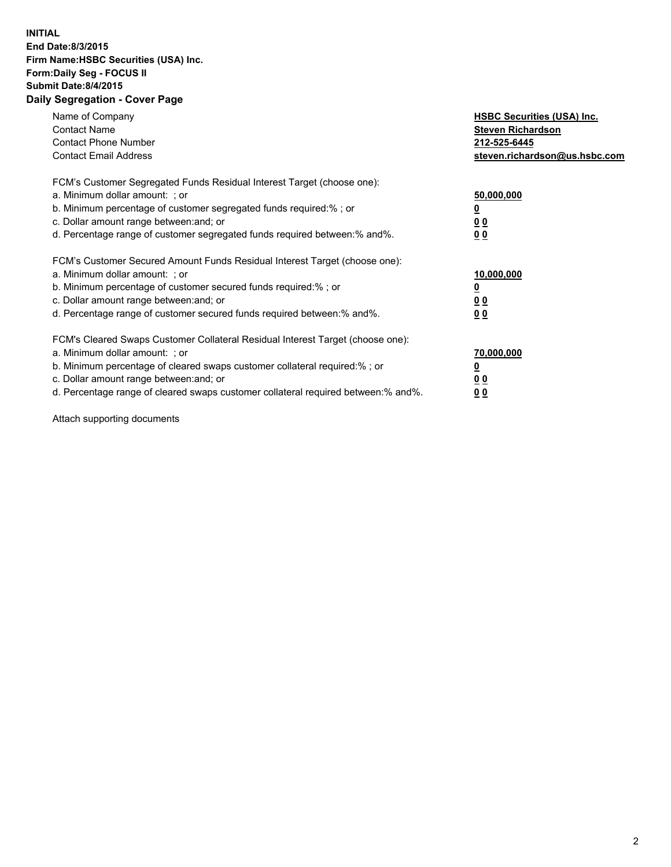## **INITIAL End Date:8/3/2015 Firm Name:HSBC Securities (USA) Inc. Form:Daily Seg - FOCUS II Submit Date:8/4/2015 Daily Segregation - Cover Page**

| Name of Company<br><b>Contact Name</b><br><b>Contact Phone Number</b><br><b>Contact Email Address</b>                                                                                                                                                                                                                          | <b>HSBC Securities (USA) Inc.</b><br><b>Steven Richardson</b><br>212-525-6445<br>steven.richardson@us.hsbc.com |
|--------------------------------------------------------------------------------------------------------------------------------------------------------------------------------------------------------------------------------------------------------------------------------------------------------------------------------|----------------------------------------------------------------------------------------------------------------|
| FCM's Customer Segregated Funds Residual Interest Target (choose one):<br>a. Minimum dollar amount: ; or<br>b. Minimum percentage of customer segregated funds required:%; or<br>c. Dollar amount range between: and; or<br>d. Percentage range of customer segregated funds required between:% and%.                          | 50,000,000<br>00<br>00                                                                                         |
| FCM's Customer Secured Amount Funds Residual Interest Target (choose one):<br>a. Minimum dollar amount: ; or<br>b. Minimum percentage of customer secured funds required:%; or<br>c. Dollar amount range between: and; or<br>d. Percentage range of customer secured funds required between:% and%.                            | 10,000,000<br>0 <sub>0</sub><br>00                                                                             |
| FCM's Cleared Swaps Customer Collateral Residual Interest Target (choose one):<br>a. Minimum dollar amount: ; or<br>b. Minimum percentage of cleared swaps customer collateral required:% ; or<br>c. Dollar amount range between: and; or<br>d. Percentage range of cleared swaps customer collateral required between:% and%. | 70,000,000<br><u>00</u><br><u>00</u>                                                                           |

Attach supporting documents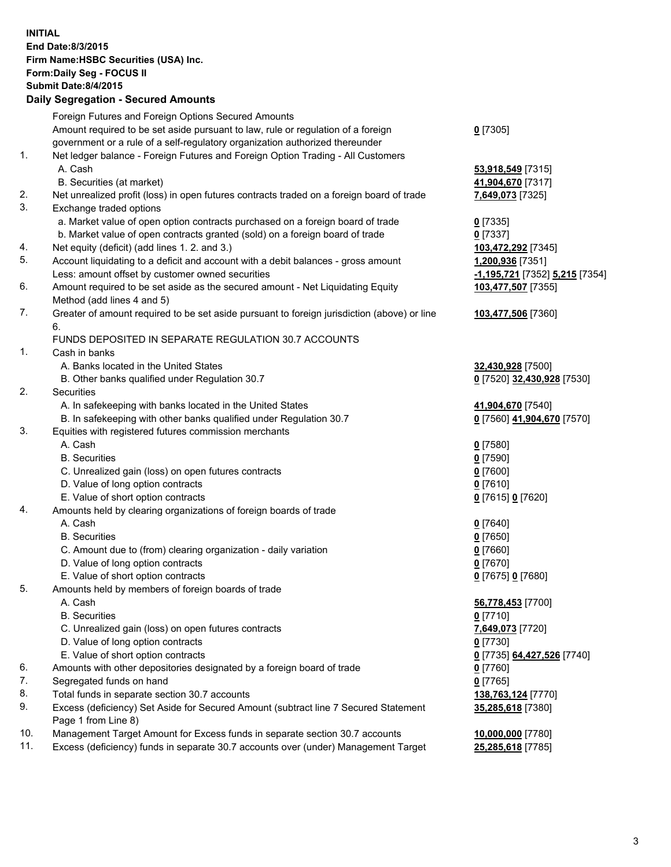**INITIAL End Date:8/3/2015 Firm Name:HSBC Securities (USA) Inc. Form:Daily Seg - FOCUS II Submit Date:8/4/2015 Daily Segregation - Secured Amounts** Foreign Futures and Foreign Options Secured Amounts Amount required to be set aside pursuant to law, rule or regulation of a foreign government or a rule of a self-regulatory organization authorized thereunder **0** [7305] 1. Net ledger balance - Foreign Futures and Foreign Option Trading - All Customers A. Cash **53,918,549** [7315] B. Securities (at market) **41,904,670** [7317] 2. Net unrealized profit (loss) in open futures contracts traded on a foreign board of trade **7,649,073** [7325] 3. Exchange traded options a. Market value of open option contracts purchased on a foreign board of trade **0** [7335] b. Market value of open contracts granted (sold) on a foreign board of trade **0** [7337] 4. Net equity (deficit) (add lines 1. 2. and 3.) **103,472,292** [7345] 5. Account liquidating to a deficit and account with a debit balances - gross amount **1,200,936** [7351] Less: amount offset by customer owned securities **-1,195,721** [7352] **5,215** [7354] 6. Amount required to be set aside as the secured amount - Net Liquidating Equity Method (add lines 4 and 5) **103,477,507** [7355] 7. Greater of amount required to be set aside pursuant to foreign jurisdiction (above) or line 6. **103,477,506** [7360] FUNDS DEPOSITED IN SEPARATE REGULATION 30.7 ACCOUNTS 1. Cash in banks A. Banks located in the United States **32,430,928** [7500] B. Other banks qualified under Regulation 30.7 **0** [7520] **32,430,928** [7530] 2. Securities A. In safekeeping with banks located in the United States **41,904,670** [7540] B. In safekeeping with other banks qualified under Regulation 30.7 **0** [7560] **41,904,670** [7570] 3. Equities with registered futures commission merchants A. Cash **0** [7580] B. Securities **0** [7590] C. Unrealized gain (loss) on open futures contracts **0** [7600] D. Value of long option contracts **0** [7610] E. Value of short option contracts **0** [7615] **0** [7620] 4. Amounts held by clearing organizations of foreign boards of trade A. Cash **0** [7640] B. Securities **0** [7650] C. Amount due to (from) clearing organization - daily variation **0** [7660] D. Value of long option contracts **0** [7670] E. Value of short option contracts **0** [7675] **0** [7680] 5. Amounts held by members of foreign boards of trade A. Cash **56,778,453** [7700] B. Securities **0** [7710] C. Unrealized gain (loss) on open futures contracts **7,649,073** [7720] D. Value of long option contracts **0** [7730] E. Value of short option contracts **0** [7735] **64,427,526** [7740] 6. Amounts with other depositories designated by a foreign board of trade **0** [7760] 7. Segregated funds on hand **0** [7765] 8. Total funds in separate section 30.7 accounts **138,763,124** [7770] 9. Excess (deficiency) Set Aside for Secured Amount (subtract line 7 Secured Statement Page 1 from Line 8) **35,285,618** [7380] 10. Management Target Amount for Excess funds in separate section 30.7 accounts **10,000,000** [7780] 11. Excess (deficiency) funds in separate 30.7 accounts over (under) Management Target **25,285,618** [7785]

3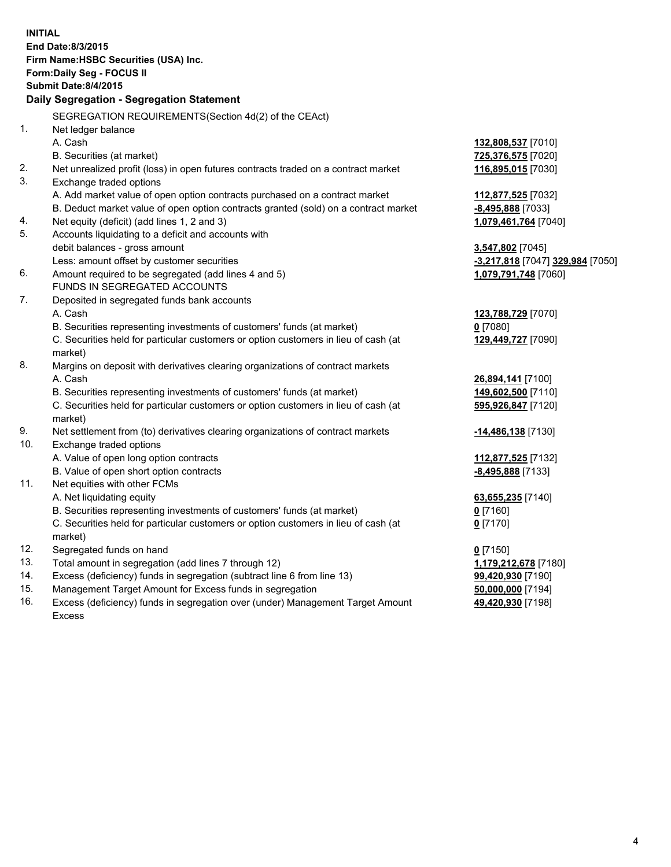| <b>INITIAL</b>                            | End Date: 8/3/2015<br>Firm Name: HSBC Securities (USA) Inc.<br>Form: Daily Seg - FOCUS II<br><b>Submit Date: 8/4/2015</b> |                                  |  |  |
|-------------------------------------------|---------------------------------------------------------------------------------------------------------------------------|----------------------------------|--|--|
| Daily Segregation - Segregation Statement |                                                                                                                           |                                  |  |  |
|                                           | SEGREGATION REQUIREMENTS(Section 4d(2) of the CEAct)                                                                      |                                  |  |  |
| 1.                                        | Net ledger balance                                                                                                        |                                  |  |  |
|                                           | A. Cash                                                                                                                   | 132,808,537 [7010]               |  |  |
|                                           | B. Securities (at market)                                                                                                 | 725,376,575 [7020]               |  |  |
| 2.                                        | Net unrealized profit (loss) in open futures contracts traded on a contract market                                        | 116,895,015 [7030]               |  |  |
| 3.                                        | Exchange traded options                                                                                                   |                                  |  |  |
|                                           | A. Add market value of open option contracts purchased on a contract market                                               | 112,877,525 [7032]               |  |  |
|                                           | B. Deduct market value of open option contracts granted (sold) on a contract market                                       | -8,495,888 [7033]                |  |  |
| 4.                                        | Net equity (deficit) (add lines 1, 2 and 3)                                                                               | 1,079,461,764 [7040]             |  |  |
| 5.                                        | Accounts liquidating to a deficit and accounts with                                                                       |                                  |  |  |
|                                           | debit balances - gross amount                                                                                             | 3,547,802 [7045]                 |  |  |
|                                           | Less: amount offset by customer securities                                                                                | -3,217,818 [7047] 329,984 [7050] |  |  |
| 6.                                        | Amount required to be segregated (add lines 4 and 5)                                                                      | 1,079,791,748 [7060]             |  |  |
|                                           | FUNDS IN SEGREGATED ACCOUNTS                                                                                              |                                  |  |  |
| 7.                                        | Deposited in segregated funds bank accounts                                                                               |                                  |  |  |
|                                           | A. Cash                                                                                                                   | 123,788,729 [7070]               |  |  |
|                                           | B. Securities representing investments of customers' funds (at market)                                                    | $0$ [7080]                       |  |  |
|                                           | C. Securities held for particular customers or option customers in lieu of cash (at<br>market)                            | 129,449,727 [7090]               |  |  |
| 8.                                        | Margins on deposit with derivatives clearing organizations of contract markets                                            |                                  |  |  |
|                                           | A. Cash                                                                                                                   | 26,894,141 [7100]                |  |  |
|                                           | B. Securities representing investments of customers' funds (at market)                                                    | 149,602,500 [7110]               |  |  |
|                                           | C. Securities held for particular customers or option customers in lieu of cash (at<br>market)                            | 595,926,847 [7120]               |  |  |
| 9.                                        | Net settlement from (to) derivatives clearing organizations of contract markets                                           | -14,486,138 [7130]               |  |  |
| 10.                                       | Exchange traded options                                                                                                   |                                  |  |  |
|                                           | A. Value of open long option contracts                                                                                    | 112,877,525 [7132]               |  |  |
|                                           | B. Value of open short option contracts                                                                                   | -8,495,888 [7133]                |  |  |
| 11.                                       | Net equities with other FCMs                                                                                              |                                  |  |  |
|                                           | A. Net liquidating equity                                                                                                 | 63,655,235 [7140]                |  |  |
|                                           | B. Securities representing investments of customers' funds (at market)                                                    | $0$ [7160]                       |  |  |
|                                           | C. Securities held for particular customers or option customers in lieu of cash (at<br>market)                            | $0$ [7170]                       |  |  |
| 12.                                       | Segregated funds on hand                                                                                                  | $0$ [7150]                       |  |  |
| 13.                                       | Total amount in segregation (add lines 7 through 12)                                                                      | 1,179,212,678 [7180]             |  |  |
| 14.                                       | Excess (deficiency) funds in segregation (subtract line 6 from line 13)                                                   | 99,420,930 [7190]                |  |  |
| 15.                                       | Management Target Amount for Excess funds in segregation                                                                  | 50,000,000 [7194]                |  |  |
| 16.                                       | Excess (deficiency) funds in segregation over (under) Management Target Amount                                            | 49,420,930 [7198]                |  |  |
|                                           | Excess                                                                                                                    |                                  |  |  |